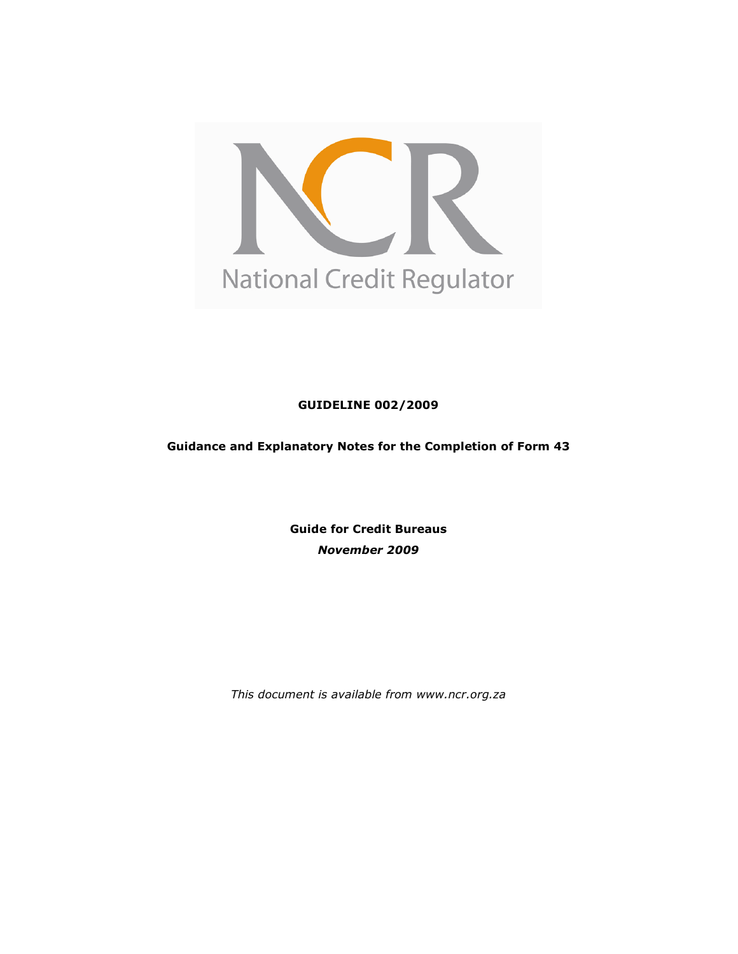

GUIDELINE 002/2009

Guidance and Explanatory Notes for the Completion of Form 43

Guide for Credit Bureaus November 2009

This document is available from www.ncr.org.za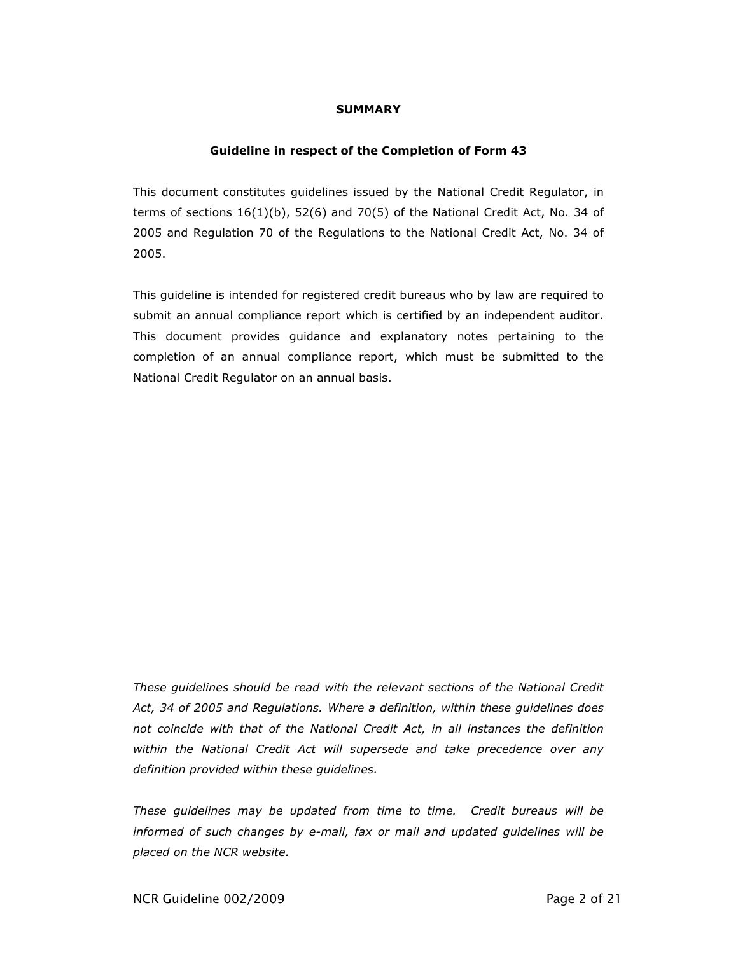### SUMMARY

#### Guideline in respect of the Completion of Form 43

This document constitutes guidelines issued by the National Credit Regulator, in terms of sections  $16(1)(b)$ , 52(6) and 70(5) of the National Credit Act, No. 34 of 2005 and Regulation 70 of the Regulations to the National Credit Act, No. 34 of 2005.

This guideline is intended for registered credit bureaus who by law are required to submit an annual compliance report which is certified by an independent auditor. This document provides guidance and explanatory notes pertaining to the completion of an annual compliance report, which must be submitted to the National Credit Regulator on an annual basis.

These guidelines should be read with the relevant sections of the National Credit Act, 34 of 2005 and Regulations. Where a definition, within these guidelines does not coincide with that of the National Credit Act, in all instances the definition within the National Credit Act will supersede and take precedence over any definition provided within these guidelines.

These guidelines may be updated from time to time. Credit bureaus will be informed of such changes by e-mail, fax or mail and updated guidelines will be placed on the NCR website.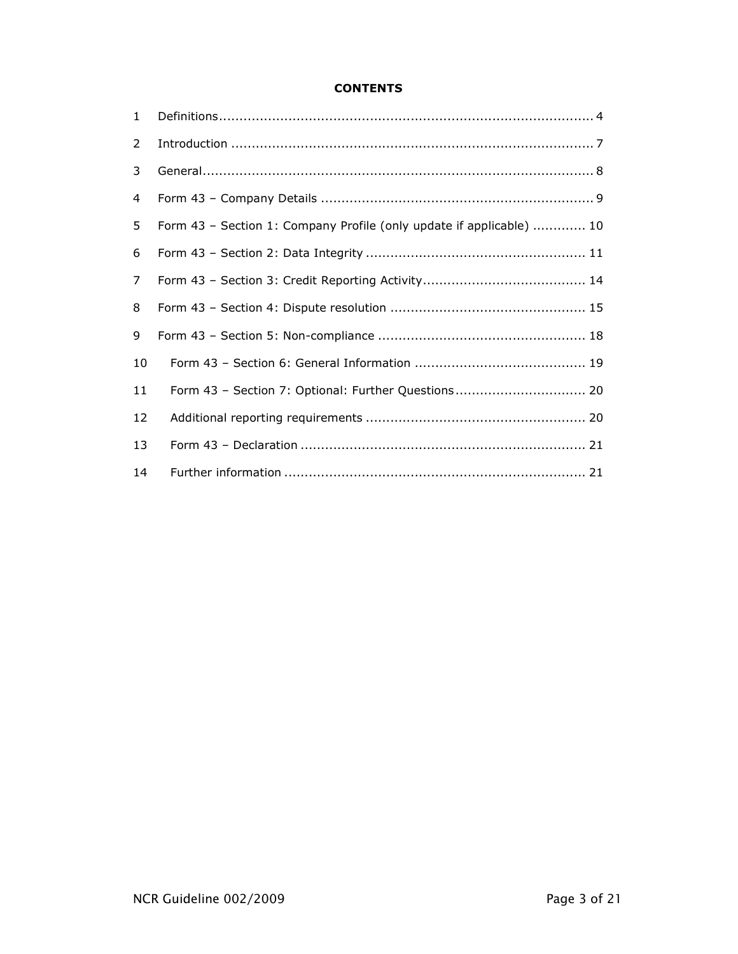## **CONTENTS**

| $\mathbf{1}$ |                                                                                                                                                                                                                                                                                                                                                                                                                                                                                                                                                      |
|--------------|------------------------------------------------------------------------------------------------------------------------------------------------------------------------------------------------------------------------------------------------------------------------------------------------------------------------------------------------------------------------------------------------------------------------------------------------------------------------------------------------------------------------------------------------------|
| 2            | $\label{eq:interoduction} \begin{minipage}{0.9\linewidth} \begin{minipage}{0.9\linewidth} \begin{minipage}{0.9\linewidth} \begin{minipage}{0.9\linewidth} \begin{minipage}{0.9\linewidth} \end{minipage} \begin{minipage}{0.9\linewidth} \begin{minipage}{0.9\linewidth} \end{minipage} \begin{minipage}{0.9\linewidth} \end{minipage} \begin{minipage}{0.9\linewidth} \begin{minipage}{0.9\linewidth} \end{minipage} \begin{minipage}{0.9\linewidth} \end{minipage} \begin{minipage}{0.9\linewidth} \begin{minipage}{0.9\linewidth} \end{minipage}$ |
| 3            |                                                                                                                                                                                                                                                                                                                                                                                                                                                                                                                                                      |
| 4            |                                                                                                                                                                                                                                                                                                                                                                                                                                                                                                                                                      |
| 5            | Form 43 - Section 1: Company Profile (only update if applicable)  10                                                                                                                                                                                                                                                                                                                                                                                                                                                                                 |
| 6            |                                                                                                                                                                                                                                                                                                                                                                                                                                                                                                                                                      |
| 7            |                                                                                                                                                                                                                                                                                                                                                                                                                                                                                                                                                      |
| 8            |                                                                                                                                                                                                                                                                                                                                                                                                                                                                                                                                                      |
| 9            |                                                                                                                                                                                                                                                                                                                                                                                                                                                                                                                                                      |
| 10           |                                                                                                                                                                                                                                                                                                                                                                                                                                                                                                                                                      |
| 11           | Form 43 - Section 7: Optional: Further Questions 20                                                                                                                                                                                                                                                                                                                                                                                                                                                                                                  |
| 12           |                                                                                                                                                                                                                                                                                                                                                                                                                                                                                                                                                      |
| 13           |                                                                                                                                                                                                                                                                                                                                                                                                                                                                                                                                                      |
| 14           |                                                                                                                                                                                                                                                                                                                                                                                                                                                                                                                                                      |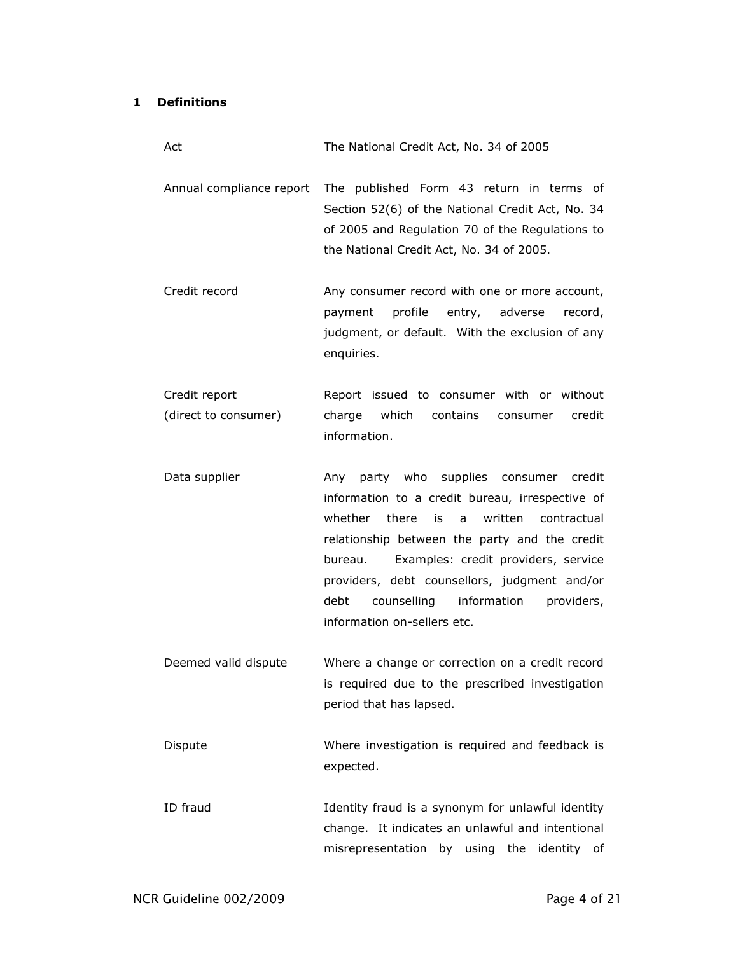## 1 Definitions

| Act                                   | The National Credit Act, No. 34 of 2005                                                                                                                                                                                                                                                                                                                                            |
|---------------------------------------|------------------------------------------------------------------------------------------------------------------------------------------------------------------------------------------------------------------------------------------------------------------------------------------------------------------------------------------------------------------------------------|
| Annual compliance report              | The published Form 43 return in terms of<br>Section 52(6) of the National Credit Act, No. 34<br>of 2005 and Regulation 70 of the Regulations to<br>the National Credit Act, No. 34 of 2005.                                                                                                                                                                                        |
| Credit record                         | Any consumer record with one or more account,<br>profile<br>entry, adverse<br>payment<br>record,<br>judgment, or default. With the exclusion of any<br>enquiries.                                                                                                                                                                                                                  |
| Credit report<br>(direct to consumer) | Report issued to consumer with or without<br>charge<br>which<br>contains<br>credit<br>consumer<br>information.                                                                                                                                                                                                                                                                     |
| Data supplier                         | Any party who supplies consumer credit<br>information to a credit bureau, irrespective of<br>whether<br>there<br>is<br>written<br>contractual<br>a<br>relationship between the party and the credit<br>Examples: credit providers, service<br>bureau.<br>providers, debt counsellors, judgment and/or<br>counselling information providers,<br>debt<br>information on-sellers etc. |
| Deemed valid dispute                  | Where a change or correction on a credit record<br>is required due to the prescribed investigation<br>period that has lapsed.                                                                                                                                                                                                                                                      |
| Dispute                               | Where investigation is required and feedback is<br>expected.                                                                                                                                                                                                                                                                                                                       |
| ID fraud                              | Identity fraud is a synonym for unlawful identity<br>change. It indicates an unlawful and intentional<br>misrepresentation by using the<br>identity<br>of                                                                                                                                                                                                                          |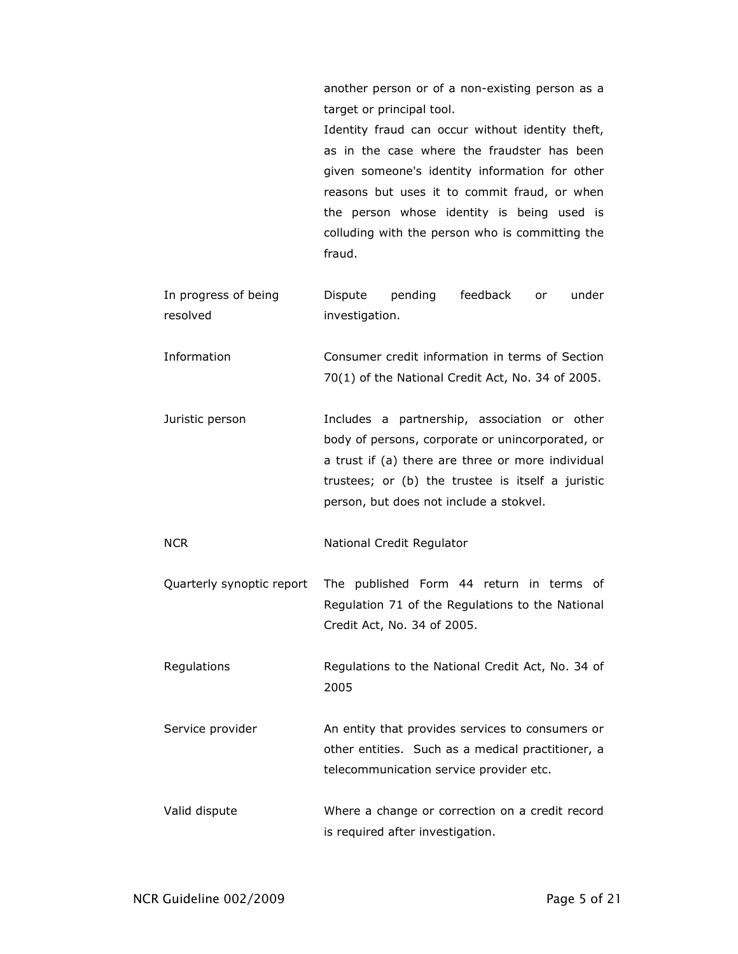another person or of a non-existing person as a target or principal tool.

Identity fraud can occur without identity theft, as in the case where the fraudster has been given someone's identity information for other reasons but uses it to commit fraud, or when the person whose identity is being used is colluding with the person who is committing the fraud.

- In progress of being resolved Dispute pending feedback or under investigation.
- Information Consumer credit information in terms of Section 70(1) of the National Credit Act, No. 34 of 2005.
- Juristic person Includes a partnership, association or other body of persons, corporate or unincorporated, or a trust if (a) there are three or more individual trustees; or (b) the trustee is itself a juristic person, but does not include a stokvel.
- NCR National Credit Regulator
- Quarterly synoptic report The published Form 44 return in terms of Regulation 71 of the Regulations to the National Credit Act, No. 34 of 2005.

Regulations Regulations to the National Credit Act, No. 34 of 2005

Service provider **An entity that provides services to consumers or** other entities. Such as a medical practitioner, a telecommunication service provider etc.

Valid dispute Where a change or correction on a credit record is required after investigation.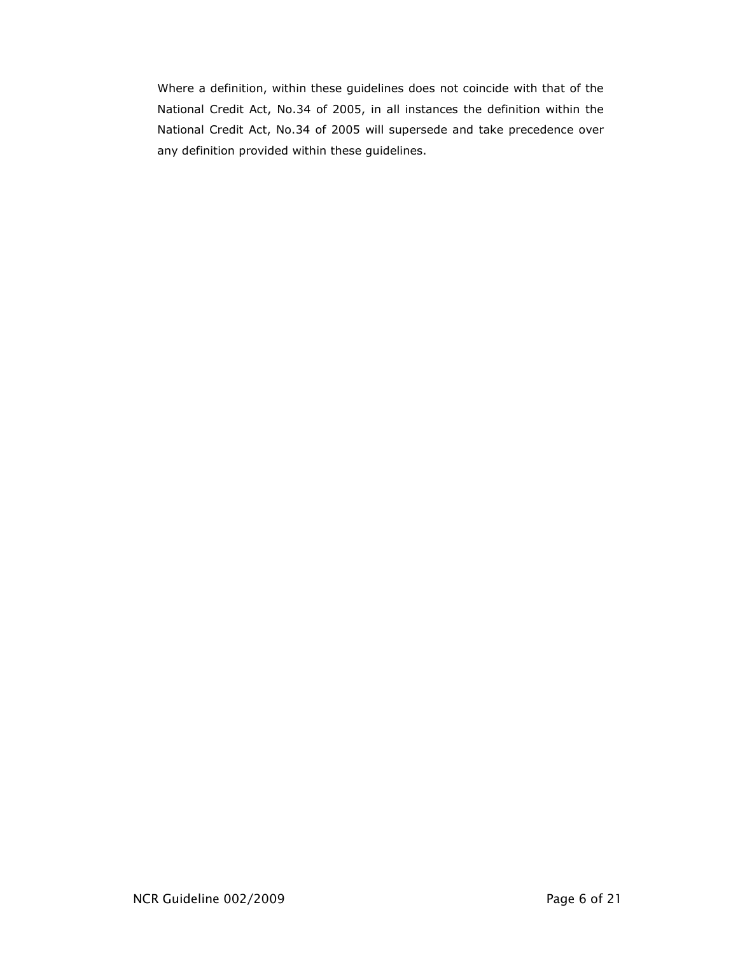Where a definition, within these guidelines does not coincide with that of the National Credit Act, No.34 of 2005, in all instances the definition within the National Credit Act, No.34 of 2005 will supersede and take precedence over any definition provided within these guidelines.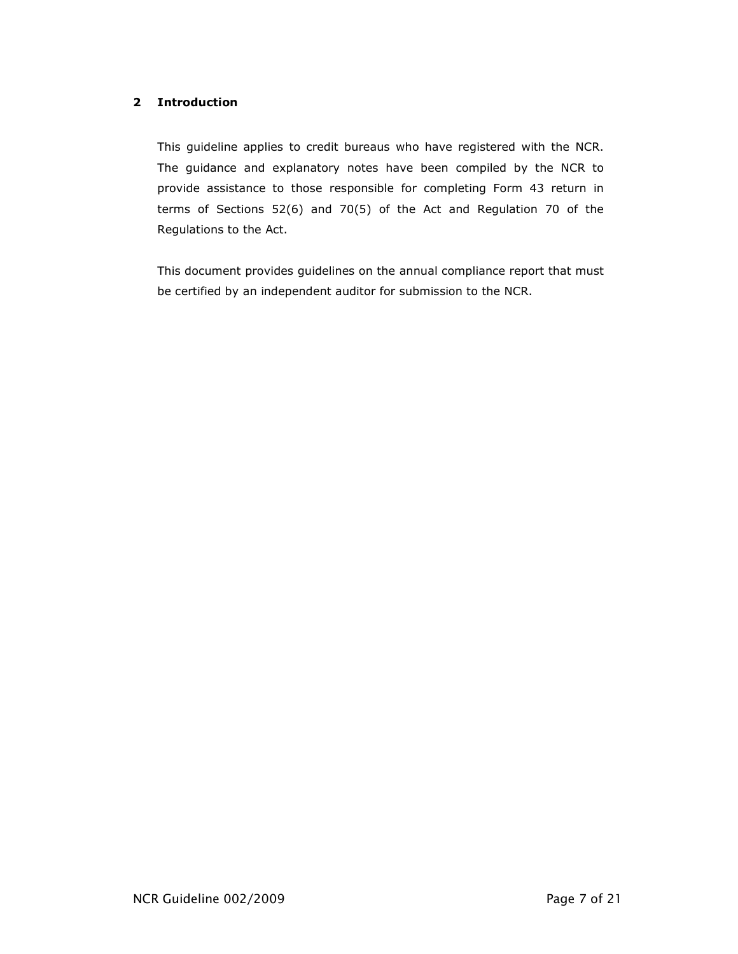## 2 Introduction

This guideline applies to credit bureaus who have registered with the NCR. The guidance and explanatory notes have been compiled by the NCR to provide assistance to those responsible for completing Form 43 return in terms of Sections 52(6) and 70(5) of the Act and Regulation 70 of the Regulations to the Act.

This document provides guidelines on the annual compliance report that must be certified by an independent auditor for submission to the NCR.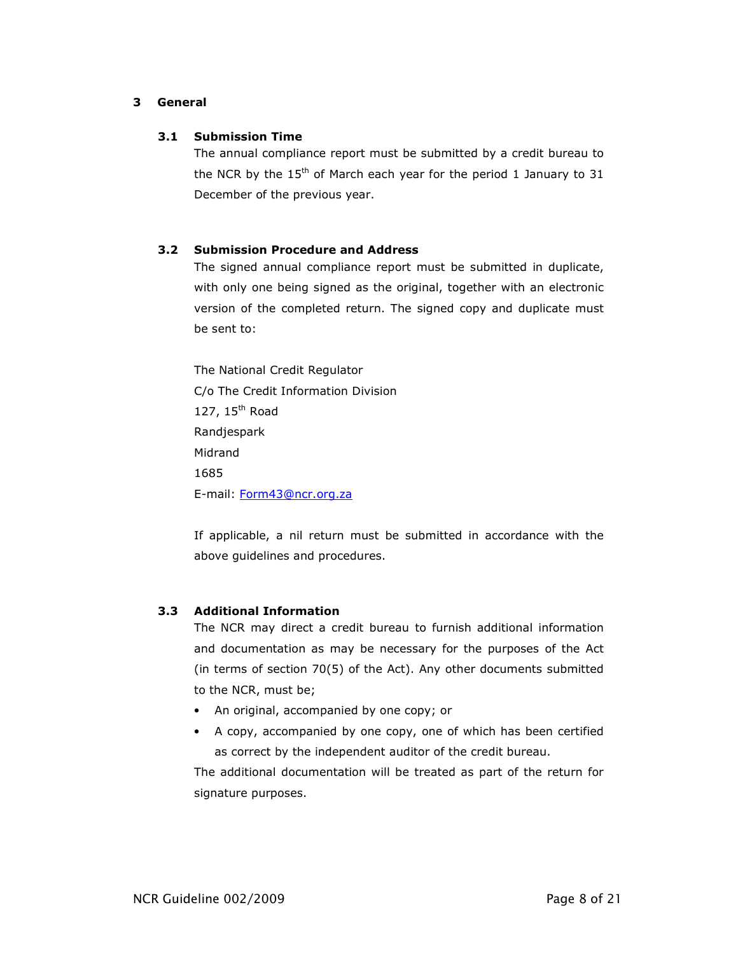## 3 General

## 3.1 Submission Time

The annual compliance report must be submitted by a credit bureau to the NCR by the  $15<sup>th</sup>$  of March each year for the period 1 January to 31 December of the previous year.

## 3.2 Submission Procedure and Address

The signed annual compliance report must be submitted in duplicate, with only one being signed as the original, together with an electronic version of the completed return. The signed copy and duplicate must be sent to:

The National Credit Regulator C/o The Credit Information Division 127, 15<sup>th</sup> Road Randjespark Midrand 1685 E-mail: Form43@ncr.org.za

If applicable, a nil return must be submitted in accordance with the above guidelines and procedures.

## 3.3 Additional Information

The NCR may direct a credit bureau to furnish additional information and documentation as may be necessary for the purposes of the Act (in terms of section 70(5) of the Act). Any other documents submitted to the NCR, must be;

- An original, accompanied by one copy; or
- A copy, accompanied by one copy, one of which has been certified as correct by the independent auditor of the credit bureau.

The additional documentation will be treated as part of the return for signature purposes.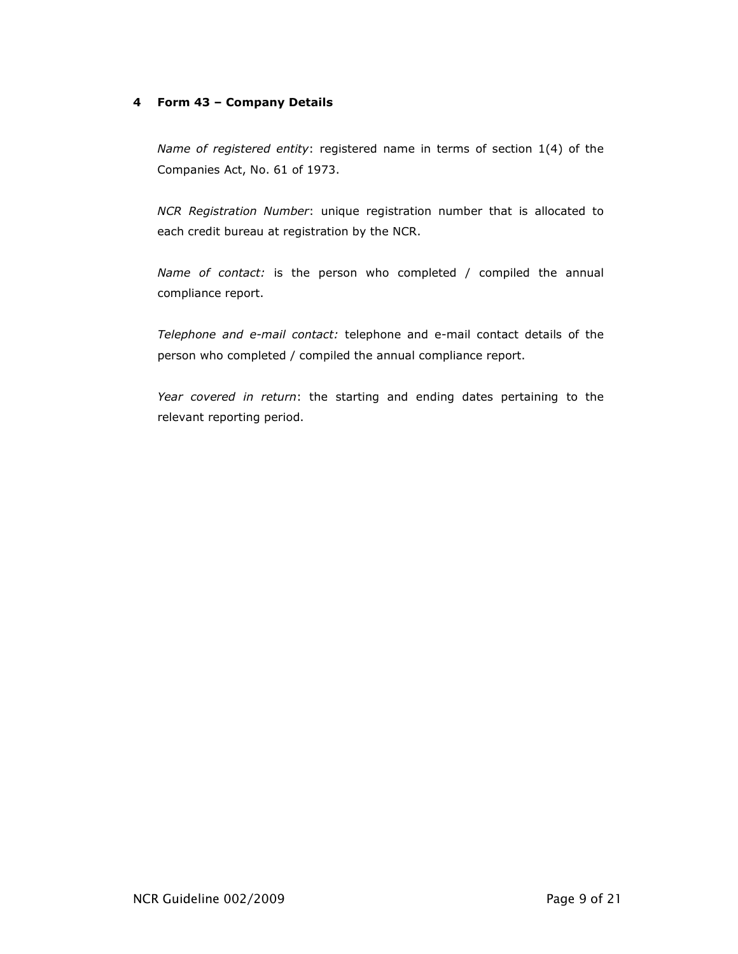## 4 Form 43 – Company Details

Name of registered entity: registered name in terms of section 1(4) of the Companies Act, No. 61 of 1973.

NCR Registration Number: unique registration number that is allocated to each credit bureau at registration by the NCR.

Name of contact: is the person who completed / compiled the annual compliance report.

Telephone and e-mail contact: telephone and e-mail contact details of the person who completed / compiled the annual compliance report.

Year covered in return: the starting and ending dates pertaining to the relevant reporting period.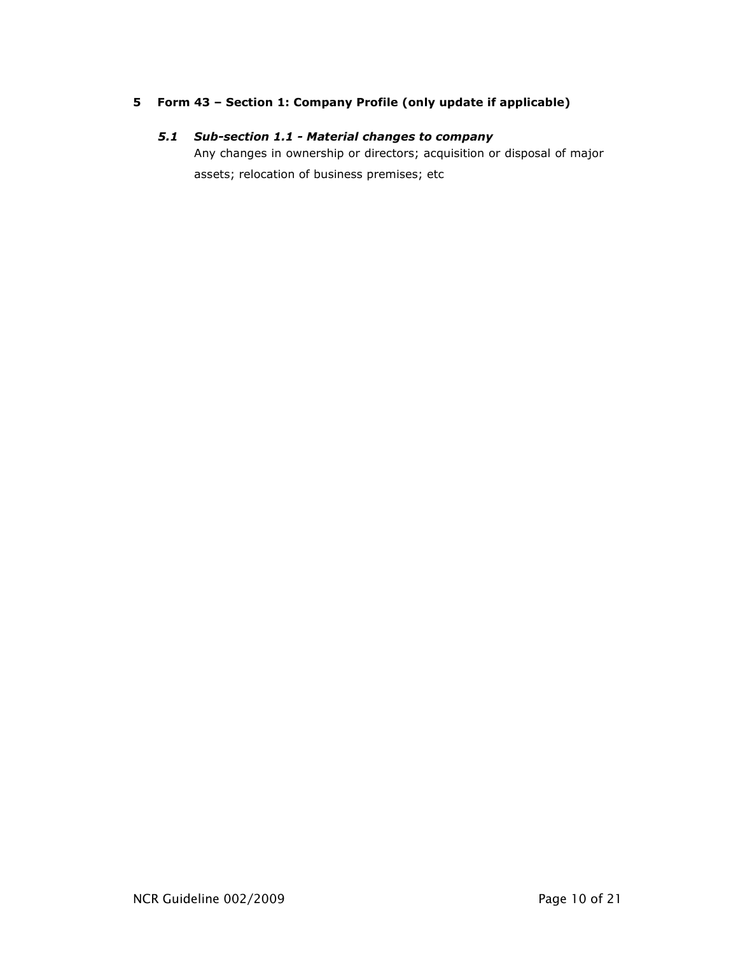## 5 Form 43 – Section 1: Company Profile (only update if applicable)

## 5.1 Sub-section 1.1 - Material changes to company

Any changes in ownership or directors; acquisition or disposal of major assets; relocation of business premises; etc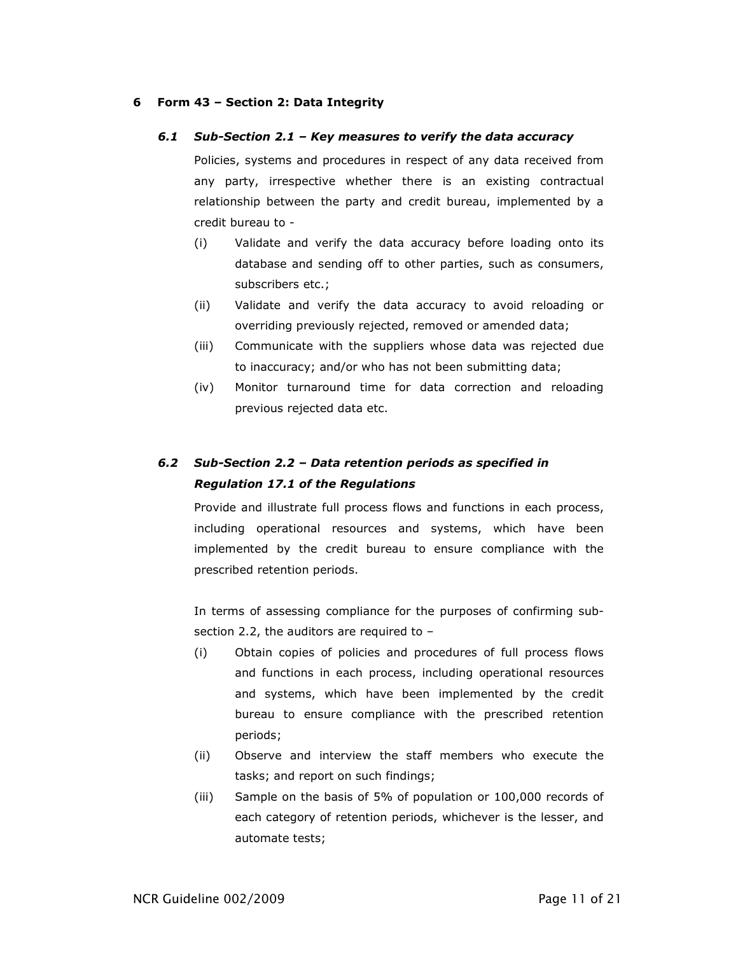#### 6 Form 43 – Section 2: Data Integrity

#### 6.1 Sub-Section 2.1 – Key measures to verify the data accuracy

Policies, systems and procedures in respect of any data received from any party, irrespective whether there is an existing contractual relationship between the party and credit bureau, implemented by a credit bureau to -

- (i) Validate and verify the data accuracy before loading onto its database and sending off to other parties, such as consumers, subscribers etc.;
- (ii) Validate and verify the data accuracy to avoid reloading or overriding previously rejected, removed or amended data;
- (iii) Communicate with the suppliers whose data was rejected due to inaccuracy; and/or who has not been submitting data;
- (iv) Monitor turnaround time for data correction and reloading previous rejected data etc.

# 6.2 Sub-Section 2.2 – Data retention periods as specified in Regulation 17.1 of the Regulations

Provide and illustrate full process flows and functions in each process, including operational resources and systems, which have been implemented by the credit bureau to ensure compliance with the prescribed retention periods.

In terms of assessing compliance for the purposes of confirming subsection 2.2, the auditors are required to –

- (i) Obtain copies of policies and procedures of full process flows and functions in each process, including operational resources and systems, which have been implemented by the credit bureau to ensure compliance with the prescribed retention periods;
- (ii) Observe and interview the staff members who execute the tasks; and report on such findings;
- (iii) Sample on the basis of 5% of population or 100,000 records of each category of retention periods, whichever is the lesser, and automate tests;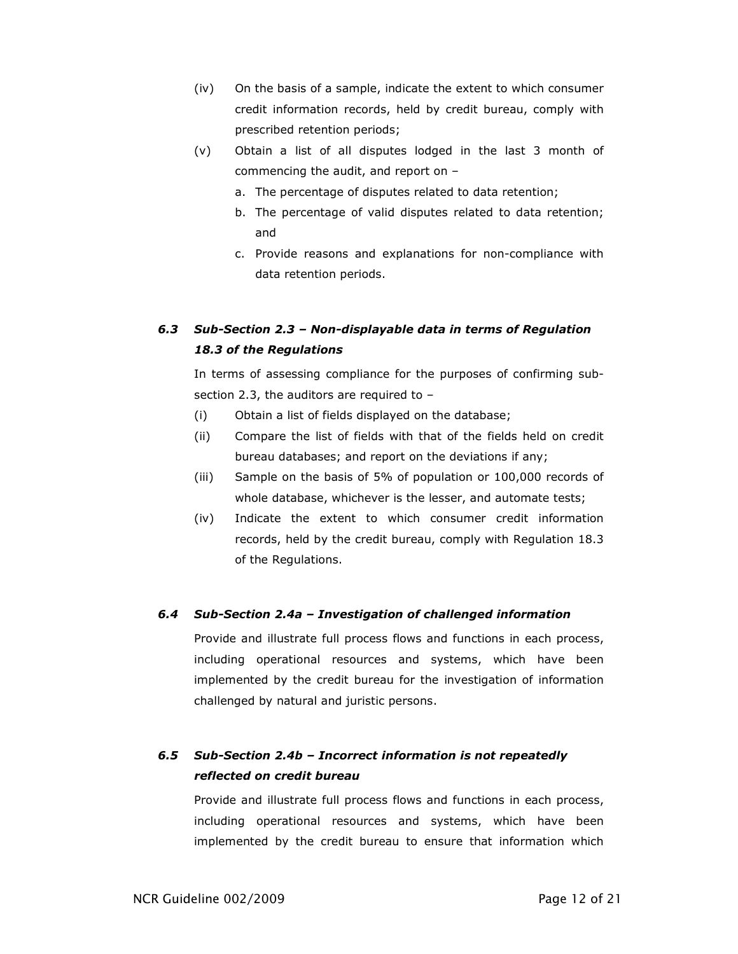- (iv) On the basis of a sample, indicate the extent to which consumer credit information records, held by credit bureau, comply with prescribed retention periods;
- (v) Obtain a list of all disputes lodged in the last 3 month of commencing the audit, and report on –
	- a. The percentage of disputes related to data retention;
	- b. The percentage of valid disputes related to data retention; and
	- c. Provide reasons and explanations for non-compliance with data retention periods.

# 6.3 Sub-Section 2.3 – Non-displayable data in terms of Regulation 18.3 of the Regulations

In terms of assessing compliance for the purposes of confirming subsection 2.3, the auditors are required to –

- (i) Obtain a list of fields displayed on the database;
- (ii) Compare the list of fields with that of the fields held on credit bureau databases; and report on the deviations if any;
- (iii) Sample on the basis of 5% of population or 100,000 records of whole database, whichever is the lesser, and automate tests;
- (iv) Indicate the extent to which consumer credit information records, held by the credit bureau, comply with Regulation 18.3 of the Regulations.

## 6.4 Sub-Section 2.4a – Investigation of challenged information

Provide and illustrate full process flows and functions in each process, including operational resources and systems, which have been implemented by the credit bureau for the investigation of information challenged by natural and juristic persons.

## 6.5 Sub-Section 2.4b – Incorrect information is not repeatedly reflected on credit bureau

Provide and illustrate full process flows and functions in each process, including operational resources and systems, which have been implemented by the credit bureau to ensure that information which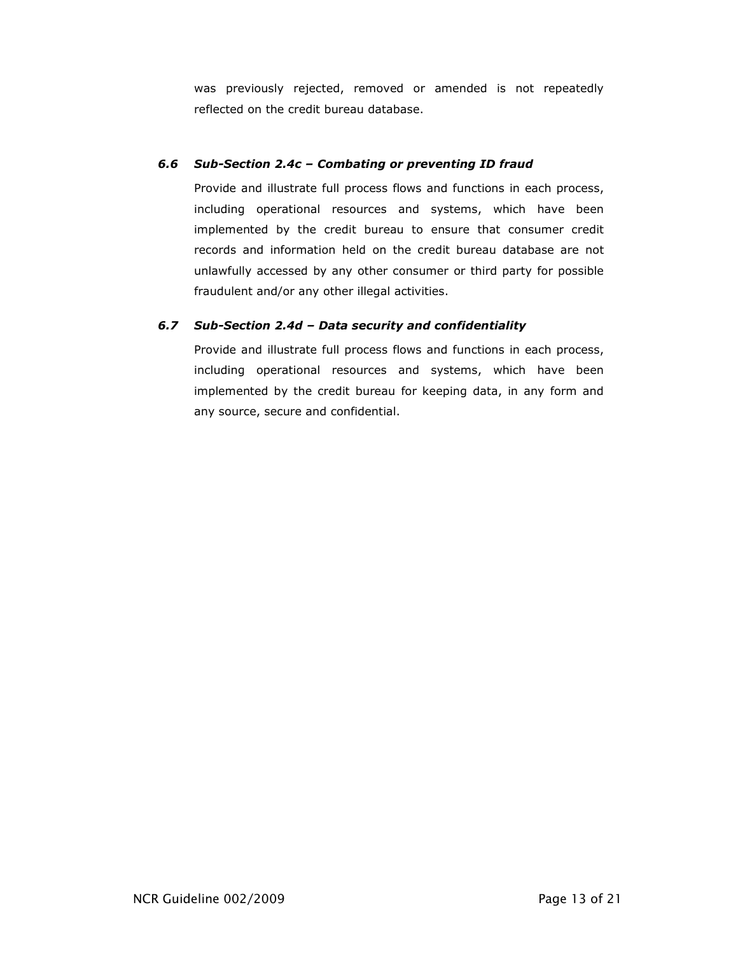was previously rejected, removed or amended is not repeatedly reflected on the credit bureau database.

## 6.6 Sub-Section 2.4c – Combating or preventing ID fraud

Provide and illustrate full process flows and functions in each process, including operational resources and systems, which have been implemented by the credit bureau to ensure that consumer credit records and information held on the credit bureau database are not unlawfully accessed by any other consumer or third party for possible fraudulent and/or any other illegal activities.

## 6.7 Sub-Section 2.4d – Data security and confidentiality

Provide and illustrate full process flows and functions in each process, including operational resources and systems, which have been implemented by the credit bureau for keeping data, in any form and any source, secure and confidential.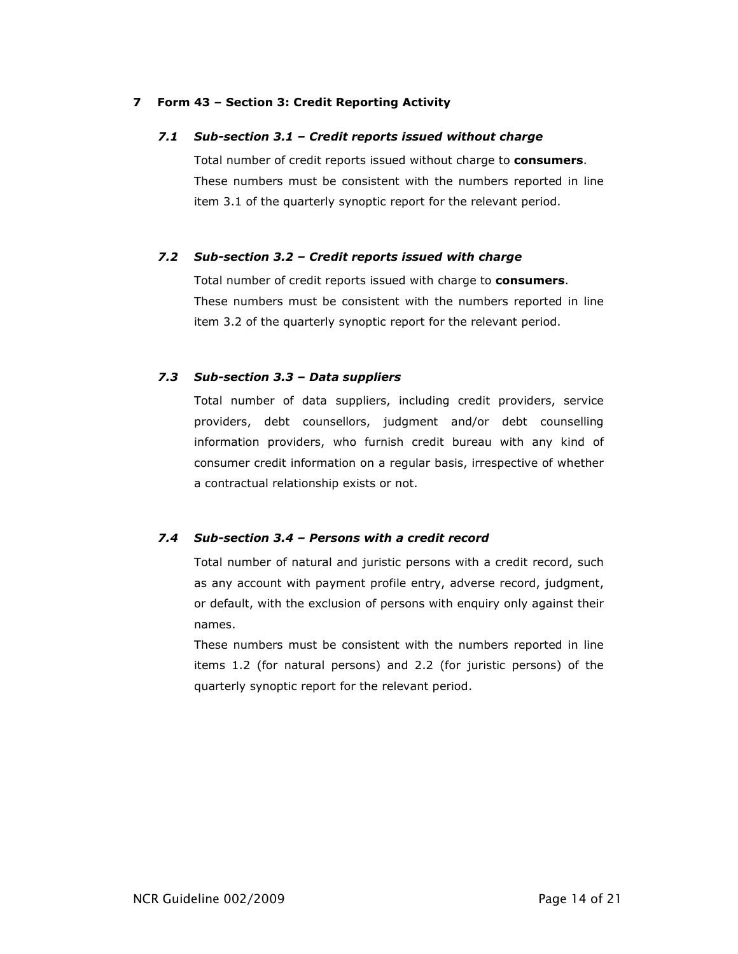## 7 Form 43 – Section 3: Credit Reporting Activity

### 7.1 Sub-section 3.1 – Credit reports issued without charge

Total number of credit reports issued without charge to **consumers**. These numbers must be consistent with the numbers reported in line item 3.1 of the quarterly synoptic report for the relevant period.

### 7.2 Sub-section 3.2 – Credit reports issued with charge

Total number of credit reports issued with charge to consumers. These numbers must be consistent with the numbers reported in line item 3.2 of the quarterly synoptic report for the relevant period.

### 7.3 Sub-section 3.3 – Data suppliers

Total number of data suppliers, including credit providers, service providers, debt counsellors, judgment and/or debt counselling information providers, who furnish credit bureau with any kind of consumer credit information on a regular basis, irrespective of whether a contractual relationship exists or not.

#### 7.4 Sub-section 3.4 – Persons with a credit record

Total number of natural and juristic persons with a credit record, such as any account with payment profile entry, adverse record, judgment, or default, with the exclusion of persons with enquiry only against their names.

These numbers must be consistent with the numbers reported in line items 1.2 (for natural persons) and 2.2 (for juristic persons) of the quarterly synoptic report for the relevant period.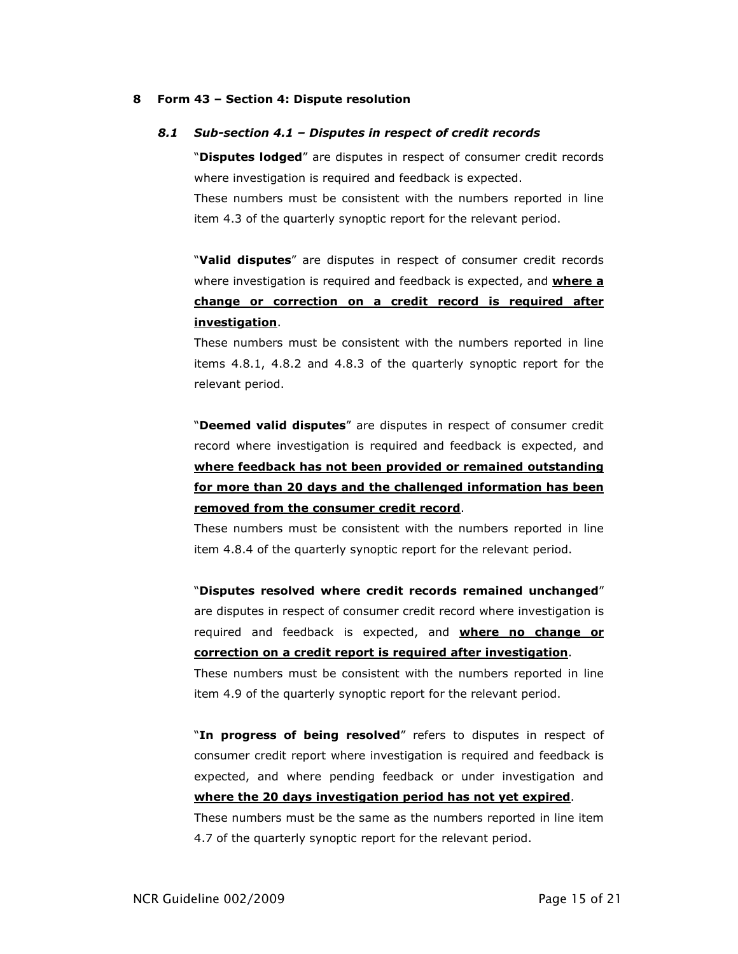#### 8 Form 43 – Section 4: Dispute resolution

#### 8.1 Sub-section 4.1 – Disputes in respect of credit records

"Disputes lodged" are disputes in respect of consumer credit records where investigation is required and feedback is expected.

These numbers must be consistent with the numbers reported in line item 4.3 of the quarterly synoptic report for the relevant period.

"Valid disputes" are disputes in respect of consumer credit records where investigation is required and feedback is expected, and **where a** change or correction on a credit record is required after investigation.

These numbers must be consistent with the numbers reported in line items 4.8.1, 4.8.2 and 4.8.3 of the quarterly synoptic report for the relevant period.

"Deemed valid disputes" are disputes in respect of consumer credit record where investigation is required and feedback is expected, and where feedback has not been provided or remained outstanding for more than 20 days and the challenged information has been removed from the consumer credit record.

These numbers must be consistent with the numbers reported in line item 4.8.4 of the quarterly synoptic report for the relevant period.

"Disputes resolved where credit records remained unchanged" are disputes in respect of consumer credit record where investigation is required and feedback is expected, and where no change or correction on a credit report is required after investigation. These numbers must be consistent with the numbers reported in line

item 4.9 of the quarterly synoptic report for the relevant period.

"In progress of being resolved" refers to disputes in respect of consumer credit report where investigation is required and feedback is expected, and where pending feedback or under investigation and where the 20 days investigation period has not yet expired. These numbers must be the same as the numbers reported in line item 4.7 of the quarterly synoptic report for the relevant period.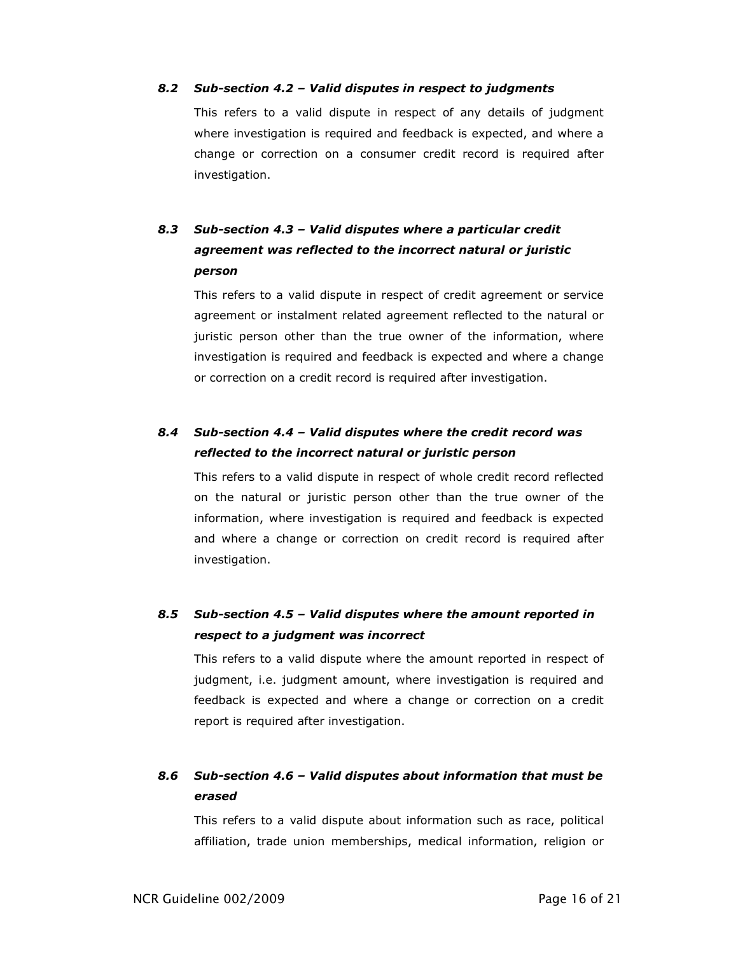#### 8.2 Sub-section 4.2 – Valid disputes in respect to judgments

This refers to a valid dispute in respect of any details of judgment where investigation is required and feedback is expected, and where a change or correction on a consumer credit record is required after investigation.

# 8.3 Sub-section 4.3 – Valid disputes where a particular credit agreement was reflected to the incorrect natural or juristic person

This refers to a valid dispute in respect of credit agreement or service agreement or instalment related agreement reflected to the natural or juristic person other than the true owner of the information, where investigation is required and feedback is expected and where a change or correction on a credit record is required after investigation.

## 8.4 Sub-section 4.4 – Valid disputes where the credit record was reflected to the incorrect natural or juristic person

This refers to a valid dispute in respect of whole credit record reflected on the natural or juristic person other than the true owner of the information, where investigation is required and feedback is expected and where a change or correction on credit record is required after investigation.

## 8.5 Sub-section 4.5 – Valid disputes where the amount reported in respect to a judgment was incorrect

This refers to a valid dispute where the amount reported in respect of judgment, i.e. judgment amount, where investigation is required and feedback is expected and where a change or correction on a credit report is required after investigation.

## 8.6 Sub-section 4.6 – Valid disputes about information that must be erased

This refers to a valid dispute about information such as race, political affiliation, trade union memberships, medical information, religion or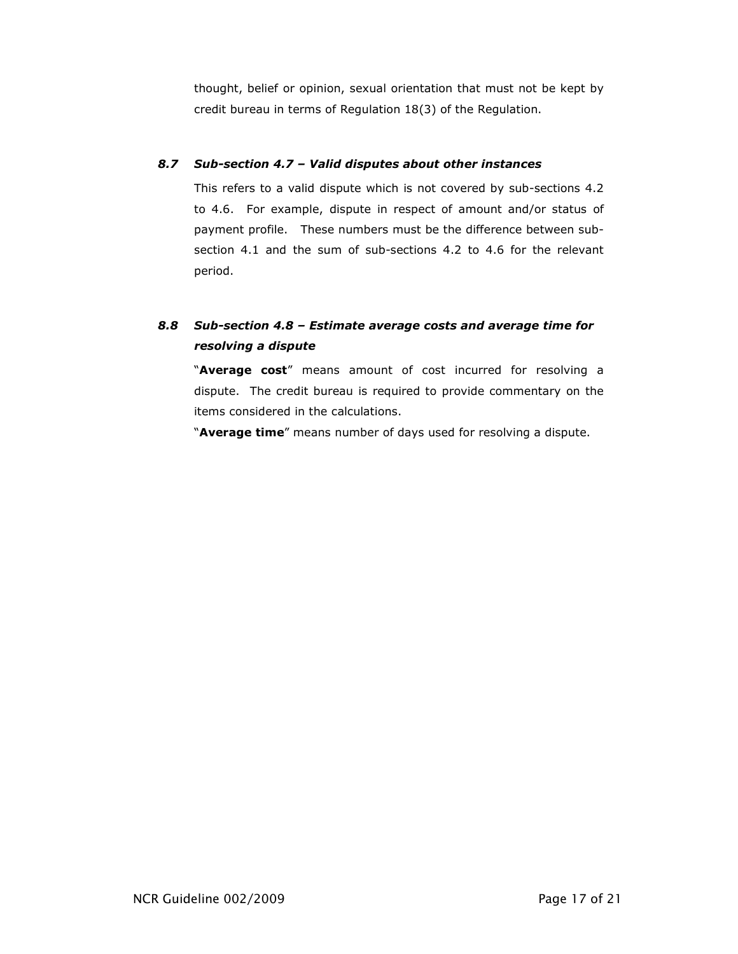thought, belief or opinion, sexual orientation that must not be kept by credit bureau in terms of Regulation 18(3) of the Regulation.

## 8.7 Sub-section 4.7 – Valid disputes about other instances

This refers to a valid dispute which is not covered by sub-sections 4.2 to 4.6. For example, dispute in respect of amount and/or status of payment profile. These numbers must be the difference between subsection 4.1 and the sum of sub-sections 4.2 to 4.6 for the relevant period.

# 8.8 Sub-section 4.8 – Estimate average costs and average time for resolving a dispute

"Average cost" means amount of cost incurred for resolving a dispute. The credit bureau is required to provide commentary on the items considered in the calculations.

"Average time" means number of days used for resolving a dispute.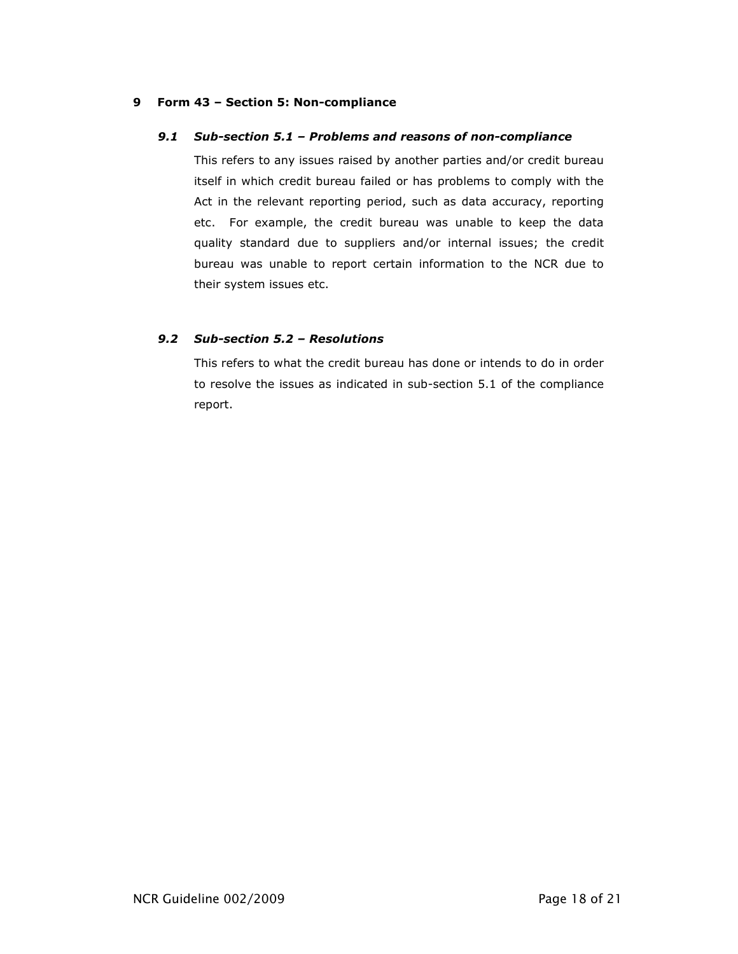### 9 Form 43 – Section 5: Non-compliance

### 9.1 Sub-section 5.1 – Problems and reasons of non-compliance

This refers to any issues raised by another parties and/or credit bureau itself in which credit bureau failed or has problems to comply with the Act in the relevant reporting period, such as data accuracy, reporting etc. For example, the credit bureau was unable to keep the data quality standard due to suppliers and/or internal issues; the credit bureau was unable to report certain information to the NCR due to their system issues etc.

## 9.2 Sub-section 5.2 – Resolutions

This refers to what the credit bureau has done or intends to do in order to resolve the issues as indicated in sub-section 5.1 of the compliance report.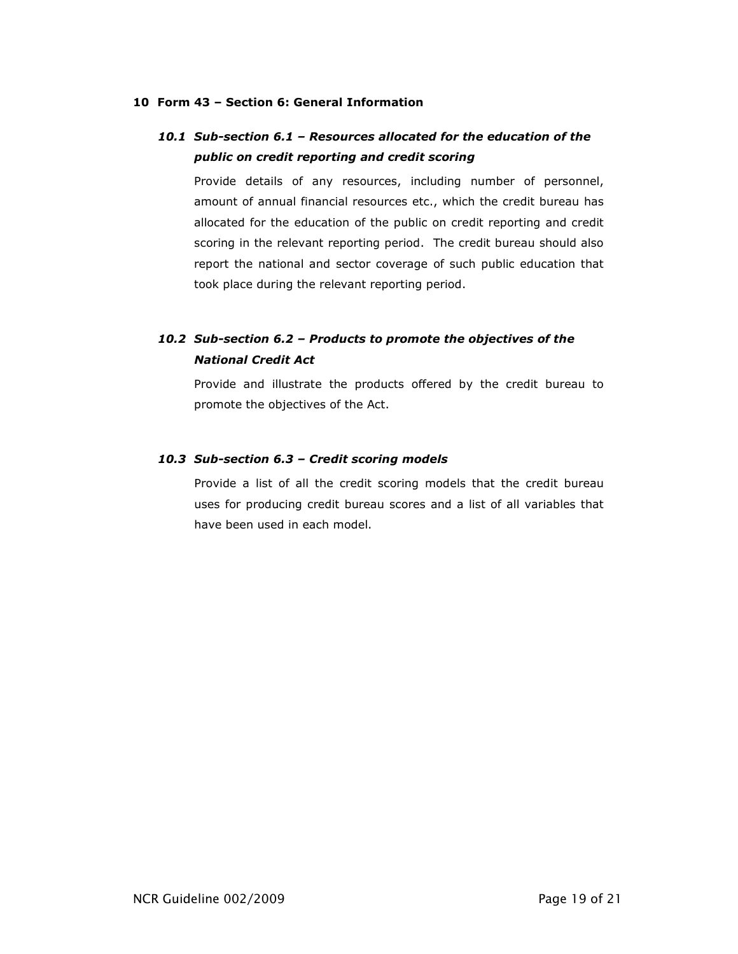### 10 Form 43 – Section 6: General Information

## 10.1 Sub-section 6.1 – Resources allocated for the education of the public on credit reporting and credit scoring

Provide details of any resources, including number of personnel, amount of annual financial resources etc., which the credit bureau has allocated for the education of the public on credit reporting and credit scoring in the relevant reporting period. The credit bureau should also report the national and sector coverage of such public education that took place during the relevant reporting period.

## 10.2 Sub-section 6.2 – Products to promote the objectives of the National Credit Act

Provide and illustrate the products offered by the credit bureau to promote the objectives of the Act.

### 10.3 Sub-section 6.3 – Credit scoring models

Provide a list of all the credit scoring models that the credit bureau uses for producing credit bureau scores and a list of all variables that have been used in each model.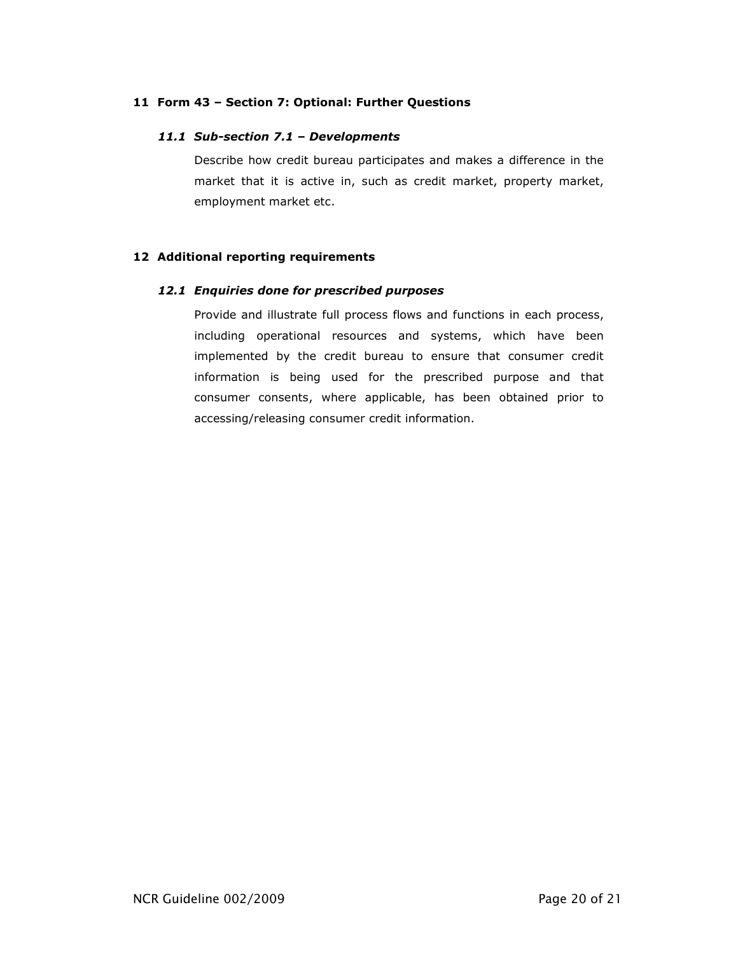## 11 Form 43 – Section 7: Optional: Further Questions

## 11.1 Sub-section 7.1 – Developments

Describe how credit bureau participates and makes a difference in the market that it is active in, such as credit market, property market, employment market etc.

## 12 Additional reporting requirements

## 12.1 Enquiries done for prescribed purposes

Provide and illustrate full process flows and functions in each process, including operational resources and systems, which have been implemented by the credit bureau to ensure that consumer credit information is being used for the prescribed purpose and that consumer consents, where applicable, has been obtained prior to accessing/releasing consumer credit information.